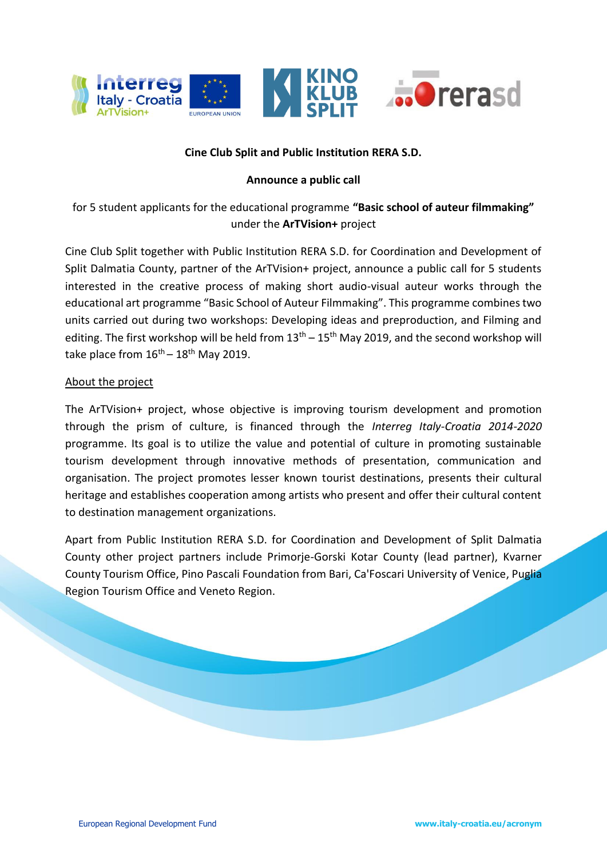

### **Cine Club Split and Public Institution RERA S.D.**

### **Announce a public call**

# for 5 student applicants for the educational programme **"Basic school of auteur filmmaking"**  under the **ArTVision+** project

Cine Club Split together with Public Institution RERA S.D. for Coordination and Development of Split Dalmatia County, partner of the ArTVision+ project, announce a public call for 5 students interested in the creative process of making short audio-visual auteur works through the educational art programme "Basic School of Auteur Filmmaking". This programme combines two units carried out during two workshops: Developing ideas and preproduction, and Filming and editing. The first workshop will be held from  $13<sup>th</sup> - 15<sup>th</sup>$  May 2019, and the second workshop will take place from  $16^{th} - 18^{th}$  May 2019.

### About the project

The ArTVision+ project, whose objective is improving tourism development and promotion through the prism of culture, is financed through the *Interreg Italy-Croatia 2014-2020* programme. Its goal is to utilize the value and potential of culture in promoting sustainable tourism development through innovative methods of presentation, communication and organisation. The project promotes lesser known tourist destinations, presents their cultural heritage and establishes cooperation among artists who present and offer their cultural content to destination management organizations.

Apart from Public Institution RERA S.D. for Coordination and Development of Split Dalmatia County other project partners include Primorje-Gorski Kotar County (lead partner), Kvarner County Tourism Office, Pino Pascali Foundation from Bari, Ca'Foscari University of Venice, Puglia Region Tourism Office and Veneto Region.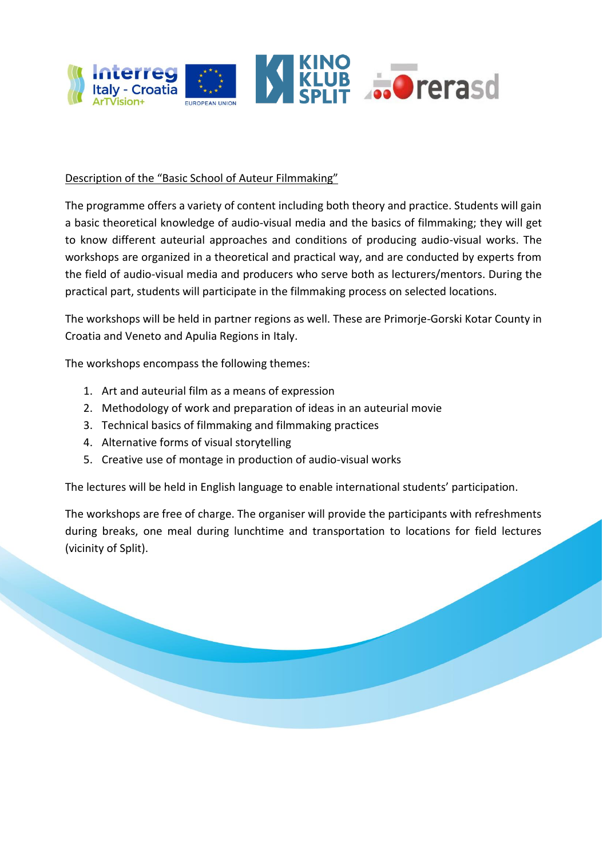

### Description of the "Basic School of Auteur Filmmaking"

The programme offers a variety of content including both theory and practice. Students will gain a basic theoretical knowledge of audio-visual media and the basics of filmmaking; they will get to know different auteurial approaches and conditions of producing audio-visual works. The workshops are organized in a theoretical and practical way, and are conducted by experts from the field of audio-visual media and producers who serve both as lecturers/mentors. During the practical part, students will participate in the filmmaking process on selected locations.

The workshops will be held in partner regions as well. These are Primorje-Gorski Kotar County in Croatia and Veneto and Apulia Regions in Italy.

The workshops encompass the following themes:

- 1. Art and auteurial film as a means of expression
- 2. Methodology of work and preparation of ideas in an auteurial movie
- 3. Technical basics of filmmaking and filmmaking practices
- 4. Alternative forms of visual storytelling
- 5. Creative use of montage in production of audio-visual works

The lectures will be held in English language to enable international students' participation.

The workshops are free of charge. The organiser will provide the participants with refreshments during breaks, one meal during lunchtime and transportation to locations for field lectures (vicinity of Split).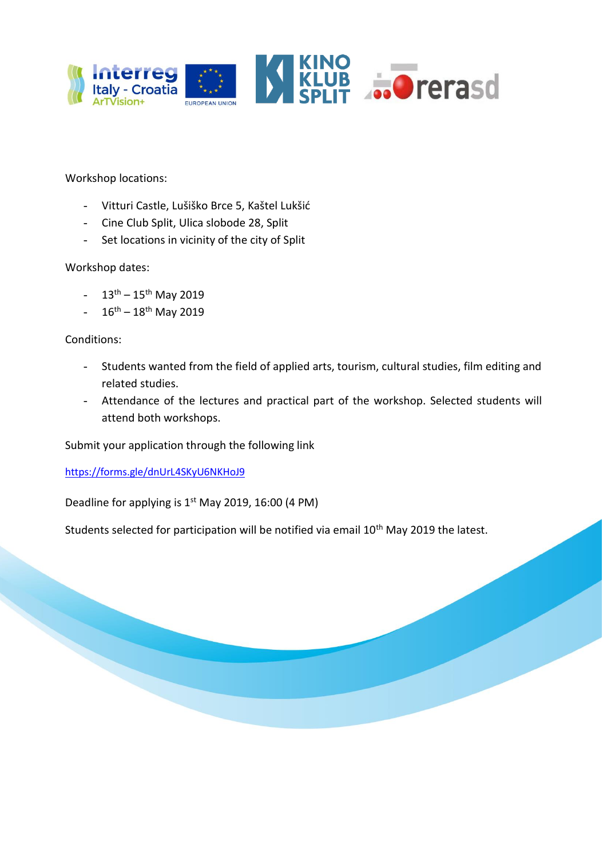

Workshop locations:

- Vitturi Castle, Lušiško Brce 5, Kaštel Lukšić
- Cine Club Split, Ulica slobode 28, Split
- Set locations in vicinity of the city of Split

#### Workshop dates:

- $13^{th} 15^{th}$  May 2019
- $16^{th} 18^{th}$  May 2019

Conditions:

- Students wanted from the field of applied arts, tourism, cultural studies, film editing and related studies.
- Attendance of the lectures and practical part of the workshop. Selected students will attend both workshops.

Submit your application through the following link

<https://forms.gle/dnUrL4SKyU6NKHoJ9>

Deadline for applying is  $1<sup>st</sup>$  May 2019, 16:00 (4 PM)

Students selected for participation will be notified via email 10<sup>th</sup> May 2019 the latest.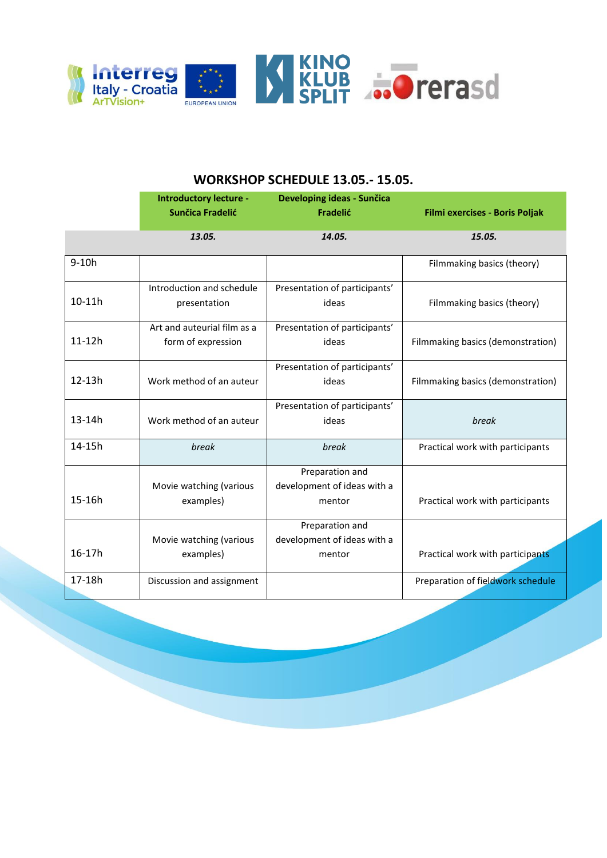

### **WORKSHOP SCHEDULE 13.05.- 15.05.**

|            | <b>Introductory lecture -</b><br><b>Sunčica Fradelić</b> | Developing ideas - Sunčica<br>Fradelić                   | Filmi exercises - Boris Poljak    |
|------------|----------------------------------------------------------|----------------------------------------------------------|-----------------------------------|
|            | 13.05.                                                   | 14.05.                                                   | 15.05.                            |
| $9-10h$    |                                                          |                                                          | Filmmaking basics (theory)        |
| 10-11h     | Introduction and schedule<br>presentation                | Presentation of participants'<br>ideas                   | Filmmaking basics (theory)        |
| $11-12h$   | Art and auteurial film as a<br>form of expression        | Presentation of participants'<br>ideas                   | Filmmaking basics (demonstration) |
| $12-13h$   | Work method of an auteur                                 | Presentation of participants'<br>ideas                   | Filmmaking basics (demonstration) |
| $13 - 14h$ | Work method of an auteur                                 | Presentation of participants'<br>ideas                   | break                             |
| 14-15h     | break                                                    | break                                                    | Practical work with participants  |
| 15-16h     | Movie watching (various<br>examples)                     | Preparation and<br>development of ideas with a<br>mentor | Practical work with participants  |
| 16-17h     | Movie watching (various<br>examples)                     | Preparation and<br>development of ideas with a<br>mentor | Practical work with participants  |
| 17-18h     | Discussion and assignment                                |                                                          | Preparation of fieldwork schedule |